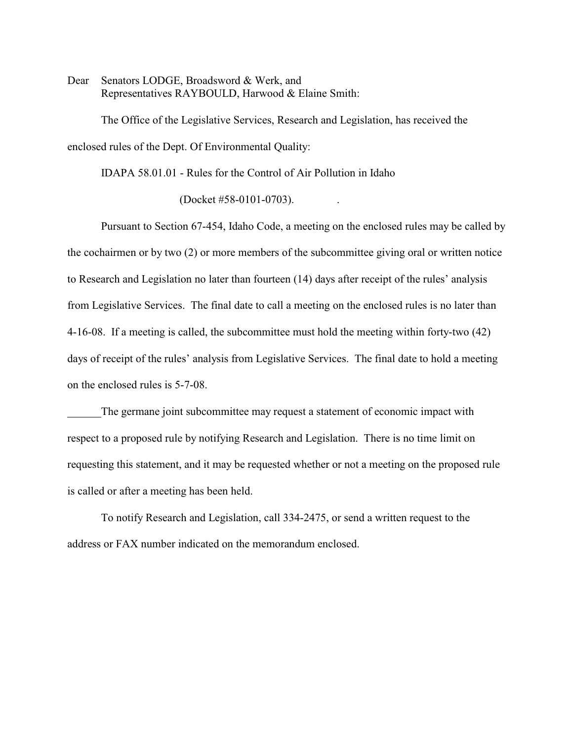Dear Senators LODGE, Broadsword & Werk, and Representatives RAYBOULD, Harwood & Elaine Smith:

The Office of the Legislative Services, Research and Legislation, has received the enclosed rules of the Dept. Of Environmental Quality:

IDAPA 58.01.01 - Rules for the Control of Air Pollution in Idaho

(Docket #58-0101-0703). .

Pursuant to Section 67-454, Idaho Code, a meeting on the enclosed rules may be called by the cochairmen or by two (2) or more members of the subcommittee giving oral or written notice to Research and Legislation no later than fourteen (14) days after receipt of the rules' analysis from Legislative Services. The final date to call a meeting on the enclosed rules is no later than 4-16-08. If a meeting is called, the subcommittee must hold the meeting within forty-two (42) days of receipt of the rules' analysis from Legislative Services. The final date to hold a meeting on the enclosed rules is 5-7-08.

The germane joint subcommittee may request a statement of economic impact with respect to a proposed rule by notifying Research and Legislation. There is no time limit on requesting this statement, and it may be requested whether or not a meeting on the proposed rule is called or after a meeting has been held.

To notify Research and Legislation, call 334-2475, or send a written request to the address or FAX number indicated on the memorandum enclosed.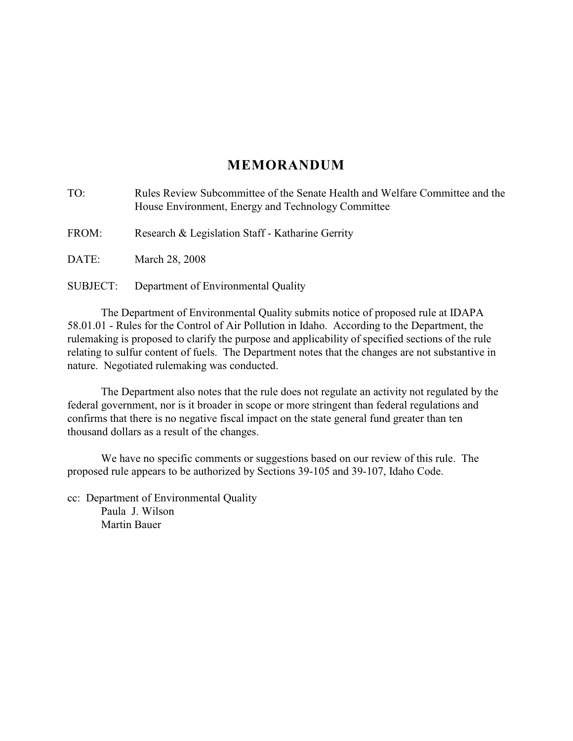# **MEMORANDUM**

TO: Rules Review Subcommittee of the Senate Health and Welfare Committee and the House Environment, Energy and Technology Committee

FROM: Research & Legislation Staff - Katharine Gerrity

DATE: March 28, 2008

SUBJECT: Department of Environmental Quality

The Department of Environmental Quality submits notice of proposed rule at IDAPA 58.01.01 - Rules for the Control of Air Pollution in Idaho. According to the Department, the rulemaking is proposed to clarify the purpose and applicability of specified sections of the rule relating to sulfur content of fuels. The Department notes that the changes are not substantive in nature. Negotiated rulemaking was conducted.

The Department also notes that the rule does not regulate an activity not regulated by the federal government, nor is it broader in scope or more stringent than federal regulations and confirms that there is no negative fiscal impact on the state general fund greater than ten thousand dollars as a result of the changes.

We have no specific comments or suggestions based on our review of this rule. The proposed rule appears to be authorized by Sections 39-105 and 39-107, Idaho Code.

cc: Department of Environmental Quality Paula J. Wilson Martin Bauer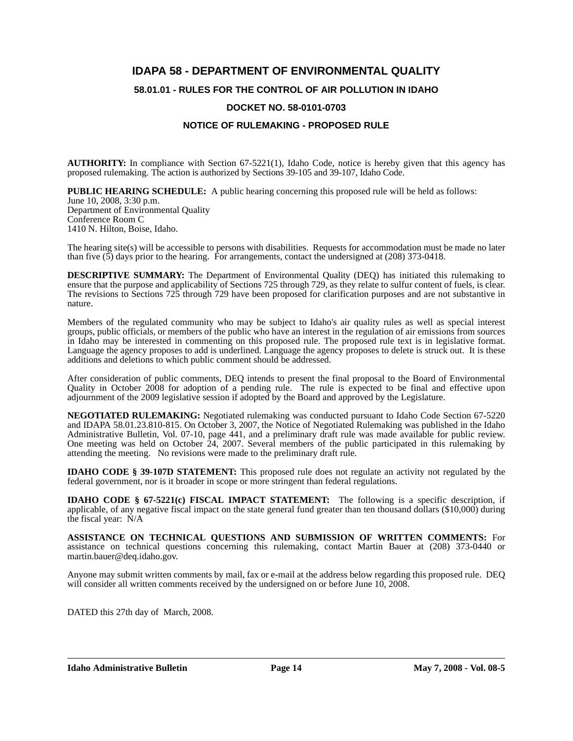## **IDAPA 58 - DEPARTMENT OF ENVIRONMENTAL QUALITY**

**58.01.01 - RULES FOR THE CONTROL OF AIR POLLUTION IN IDAHO**

#### **DOCKET NO. 58-0101-0703**

### **NOTICE OF RULEMAKING - PROPOSED RULE**

**AUTHORITY:** In compliance with Section 67-5221(1), Idaho Code, notice is hereby given that this agency has proposed rulemaking. The action is authorized by Sections 39-105 and 39-107, Idaho Code.

**PUBLIC HEARING SCHEDULE:** A public hearing concerning this proposed rule will be held as follows:

June 10, 2008, 3:30 p.m. Department of Environmental Quality Conference Room C 1410 N. Hilton, Boise, Idaho.

The hearing site(s) will be accessible to persons with disabilities. Requests for accommodation must be made no later than five  $(5)$  days prior to the hearing. For arrangements, contact the undersigned at (208) 373-0418.

**DESCRIPTIVE SUMMARY:** The Department of Environmental Quality (DEQ) has initiated this rulemaking to ensure that the purpose and applicability of Sections 725 through 729, as they relate to sulfur content of fuels, is clear. The revisions to Sections 725 through 729 have been proposed for clarification purposes and are not substantive in nature.

Members of the regulated community who may be subject to Idaho's air quality rules as well as special interest groups, public officials, or members of the public who have an interest in the regulation of air emissions from sources in Idaho may be interested in commenting on this proposed rule. The proposed rule text is in legislative format. Language the agency proposes to add is underlined. Language the agency proposes to delete is struck out. It is these additions and deletions to which public comment should be addressed.

After consideration of public comments, DEQ intends to present the final proposal to the Board of Environmental Quality in October 2008 for adoption of a pending rule. The rule is expected to be final and effective upon adjournment of the 2009 legislative session if adopted by the Board and approved by the Legislature.

**NEGOTIATED RULEMAKING:** Negotiated rulemaking was conducted pursuant to Idaho Code Section 67-5220 and IDAPA 58.01.23.810-815. On October 3, 2007, the Notice of Negotiated Rulemaking was published in the Idaho Administrative Bulletin, Vol. 07-10, page 441, and a preliminary draft rule was made available for public review. One meeting was held on October 24, 2007. Several members of the public participated in this rulemaking by attending the meeting. No revisions were made to the preliminary draft rule.

**IDAHO CODE § 39-107D STATEMENT:** This proposed rule does not regulate an activity not regulated by the federal government, nor is it broader in scope or more stringent than federal regulations.

**IDAHO CODE § 67-5221(c) FISCAL IMPACT STATEMENT:** The following is a specific description, if applicable, of any negative fiscal impact on the state general fund greater than ten thousand dollars (\$10,000) during the fiscal year: N/A

**ASSISTANCE ON TECHNICAL QUESTIONS AND SUBMISSION OF WRITTEN COMMENTS:** For assistance on technical questions concerning this rulemaking, contact Martin Bauer at (208) 373-0440 or martin.bauer@deq.idaho.gov.

Anyone may submit written comments by mail, fax or e-mail at the address below regarding this proposed rule. DEQ will consider all written comments received by the undersigned on or before June 10, 2008.

DATED this 27th day of March, 2008.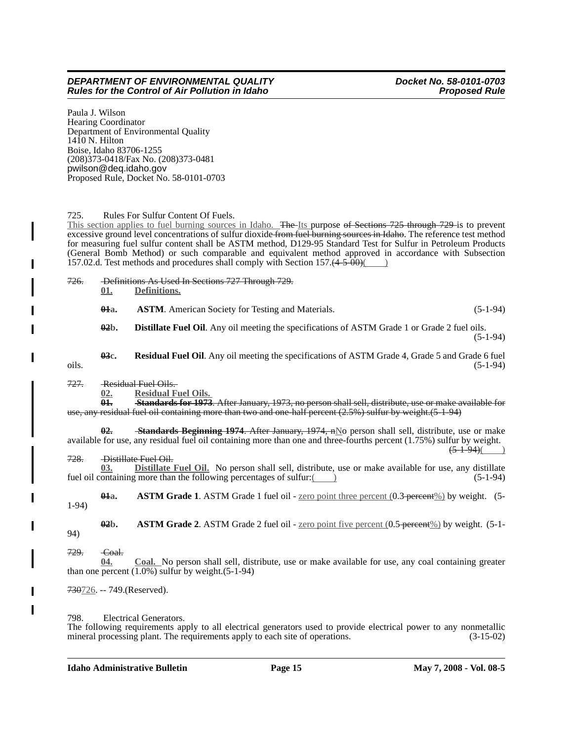Paula J. Wilson Hearing Coordinator Department of Environmental Quality  $14\overline{1}0$  N. Hilton Boise, Idaho 83706-1255 (208)373-0418/Fax No. (208)373-0481 pwilson@deq.idaho.gov Proposed Rule, Docket No. 58-0101-0703

#### 725. Rules For Sulfur Content Of Fuels.

This section applies to fuel burning sources in Idaho. The Its purpose of Sections 725 through 729 is to prevent excessive ground level concentrations of sulfur dioxide from fuel burning sources in Idaho. The reference test method for measuring fuel sulfur content shall be ASTM method, D129-95 Standard Test for Sulfur in Petroleum Products (General Bomb Method) or such comparable and equivalent method approved in accordance with Subsection 157.02.d. Test methods and procedures shall comply with Section  $157.4 \div 500/$  (

- 726. Definitions As Used In Sections 727 Through 729.
	- **01. Definitions.**

**01a. ASTM**. American Society for Testing and Materials. (5-1-94)

**02b. Distillate Fuel Oil**. Any oil meeting the specifications of ASTM Grade 1 or Grade 2 fuel oils. (5-1-94)

**03c.** Residual Fuel Oil. Any oil meeting the specifications of ASTM Grade 4, Grade 5 and Grade 6 fuel (5-1-94) oils.  $(5-1-94)$ 

727. Residual Fuel Oils.

**02. Residual Fuel Oils.**

**01. Standards for 1973**. After January, 1973, no person shall sell, distribute, use or make available for use, any residual fuel oil containing more than two and one-half percent (2.5%) sulfur by weight.(5-1-94)

**02. Standards Beginning 1974**. After January, 1974, nNo person shall sell, distribute, use or make available for use, any residual fuel oil containing more than one and three-fourths percent (1.75%) sulfur by weight.  $(5-1-94)$ 

728. Distillate Fuel Oil.

**03. Distillate Fuel Oil.** No person shall sell, distribute, use or make available for use, any distillate fuel oil containing more than the following percentages of sulfur: $($ 

**014.** ASTM Grade 1. ASTM Grade 1 fuel oil - zero point three percent  $(0.3 \frac{\text{percent}(0.3 \text{ percent} \%)}{\text{best}})$  by weight. 1-94)

**02b. ASTM Grade 2.** ASTM Grade 2 fuel oil - <u>zero point five percent (0.5 percent%)</u> by weight. (5-1-94)

729. Coal.

**04. Coal.** No person shall sell, distribute, use or make available for use, any coal containing greater than one percent  $(1.0\%)$  sulfur by weight. $(5-1-94)$ 

730726. -- 749. (Reserved).

798. Electrical Generators.

The following requirements apply to all electrical generators used to provide electrical power to any nonmetallic mineral processing plant. The requirements apply to each site of operations. (3-15-02)